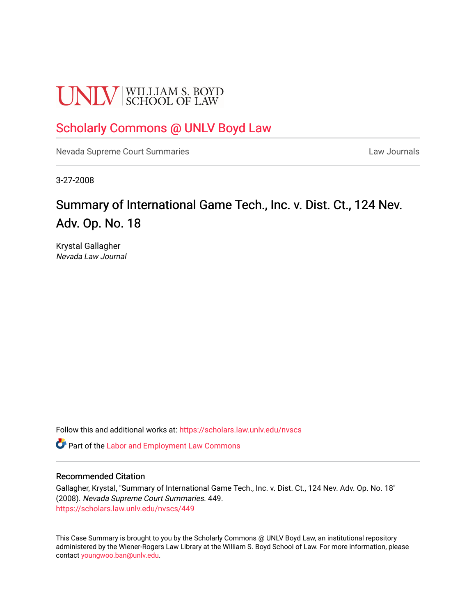# **UNLV** SCHOOL OF LAW

## [Scholarly Commons @ UNLV Boyd Law](https://scholars.law.unlv.edu/)

[Nevada Supreme Court Summaries](https://scholars.law.unlv.edu/nvscs) **Law Journals** Law Journals

3-27-2008

# Summary of International Game Tech., Inc. v. Dist. Ct., 124 Nev. Adv. Op. No. 18

Krystal Gallagher Nevada Law Journal

Follow this and additional works at: [https://scholars.law.unlv.edu/nvscs](https://scholars.law.unlv.edu/nvscs?utm_source=scholars.law.unlv.edu%2Fnvscs%2F449&utm_medium=PDF&utm_campaign=PDFCoverPages)

**C** Part of the [Labor and Employment Law Commons](http://network.bepress.com/hgg/discipline/909?utm_source=scholars.law.unlv.edu%2Fnvscs%2F449&utm_medium=PDF&utm_campaign=PDFCoverPages)

#### Recommended Citation

Gallagher, Krystal, "Summary of International Game Tech., Inc. v. Dist. Ct., 124 Nev. Adv. Op. No. 18" (2008). Nevada Supreme Court Summaries. 449. [https://scholars.law.unlv.edu/nvscs/449](https://scholars.law.unlv.edu/nvscs/449?utm_source=scholars.law.unlv.edu%2Fnvscs%2F449&utm_medium=PDF&utm_campaign=PDFCoverPages)

This Case Summary is brought to you by the Scholarly Commons @ UNLV Boyd Law, an institutional repository administered by the Wiener-Rogers Law Library at the William S. Boyd School of Law. For more information, please contact [youngwoo.ban@unlv.edu](mailto:youngwoo.ban@unlv.edu).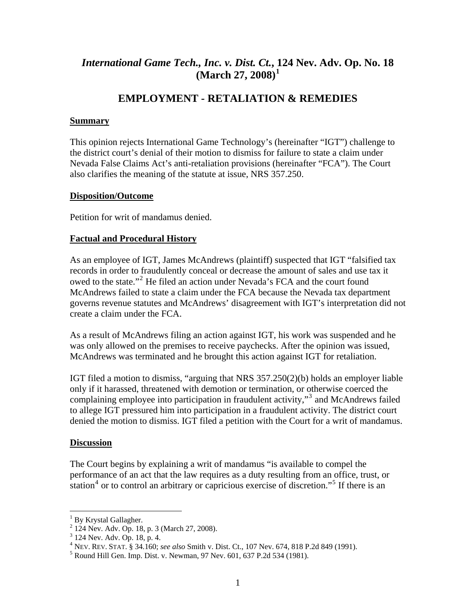## *International Game Tech., Inc. v. Dist. Ct.***, [1](#page-1-0)24 Nev. Adv. Op. No. 18 (March 27, 2008)[1](#page-1-0)**

### **EMPLOYMENT - RETALIATION & REMEDIES**

#### **Summary**

This opinion rejects International Game Technology's (hereinafter "IGT") challenge to the district court's denial of their motion to dismiss for failure to state a claim under Nevada False Claims Act's anti-retaliation provisions (hereinafter "FCA"). The Court also clarifies the meaning of the statute at issue, NRS 357.250.

#### **Disposition/Outcome**

Petition for writ of mandamus denied.

#### **Factual and Procedural History**

As an employee of IGT, James McAndrews (plaintiff) suspected that IGT "falsified tax records in order to fraudulently conceal or decrease the amount of sales and use tax it owed to the state."<sup>[2](#page-1-1)</sup> He filed an action under Nevada's FCA and the court found McAndrews failed to state a claim under the FCA because the Nevada tax department governs revenue statutes and McAndrews' disagreement with IGT's interpretation did not create a claim under the FCA.

As a result of McAndrews filing an action against IGT, his work was suspended and he was only allowed on the premises to receive paychecks. After the opinion was issued, McAndrews was terminated and he brought this action against IGT for retaliation.

IGT filed a motion to dismiss, "arguing that NRS 357.250(2)(b) holds an employer liable only if it harassed, threatened with demotion or termination, or otherwise coerced the complaining employee into participation in fraudulent activity,"<sup>[3](#page-1-2)</sup> and McAndrews failed to allege IGT pressured him into participation in a fraudulent activity. The district court denied the motion to dismiss. IGT filed a petition with the Court for a writ of mandamus.

#### **Discussion**

 $\overline{a}$ 

The Court begins by explaining a writ of mandamus "is available to compel the performance of an act that the law requires as a duty resulting from an office, trust, or station<sup>[4](#page-1-3)</sup> or to control an arbitrary or capricious exercise of discretion."<sup>[5](#page-1-4)</sup> If there is an

<span id="page-1-0"></span><sup>&</sup>lt;sup>1</sup> By Krystal Gallagher.

<span id="page-1-1"></span><sup>2</sup> 124 Nev. Adv. Op. 18, p. 3 (March 27, 2008).

<sup>3</sup> 124 Nev. Adv. Op. 18, p. 4.

<span id="page-1-3"></span><span id="page-1-2"></span><sup>&</sup>lt;sup>4</sup> NEV. REV. STAT. § 34.160; *see also* Smith v. Dist. Ct., 107 Nev. 674, 818 P.2d 849 (1991).

<span id="page-1-4"></span> $5$  Round Hill Gen. Imp. Dist. v. Newman, 97 Nev. 601, 637 P.2d 534 (1981).